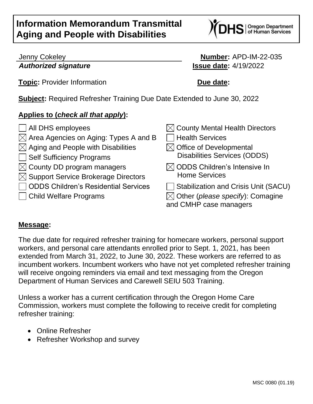# **Information Memorandum Transmittal Aging and People with Disabilities**



**Topic:** Provider Information **Due date:** 

Jenny Cokeley **Number:** APD-IM-22-035 *Authorized signature* **Issue date:** 4/19/2022

**Subject:** Required Refresher Training Due Date Extended to June 30, 2022

## **Applies to (***check all that apply***):**

- 
- $\boxtimes$  Area Agencies on Aging: Types A and B  $\Box$  Health Services
- $\boxtimes$  Aging and People with Disabilities  $\boxtimes$  Office of Developmental
- 
- $\boxtimes$  County DD program managers
- $\boxtimes$  Support Service Brokerage Directors
- $\Box$  ODDS Children's Residential Services  $\Box$  Stabilization and Crisis Unit (SACU)
- 
- $\Box$  All DHS employees  $\boxdot$   $\boxdot$  County Mental Health Directors □ Self Sufficiency Programs b Summan Disabilities Services (ODDS)  $\boxtimes$  ODDS Children's Intensive In Home Services  $\Box$  Child Welfare Programs  $\boxtimes$  Other (*please specify*): Comagine

and CMHP case managers

### **Message:**

The due date for required refresher training for homecare workers, personal support workers, and personal care attendants enrolled prior to Sept. 1, 2021, has been extended from March 31, 2022, to June 30, 2022. These workers are referred to as incumbent workers. Incumbent workers who have not yet completed refresher training will receive ongoing reminders via email and text messaging from the Oregon Department of Human Services and Carewell SEIU 503 Training.

Unless a worker has a current certification through the Oregon Home Care Commission, workers must complete the following to receive credit for completing refresher training:

- Online Refresher
- Refresher Workshop and survey